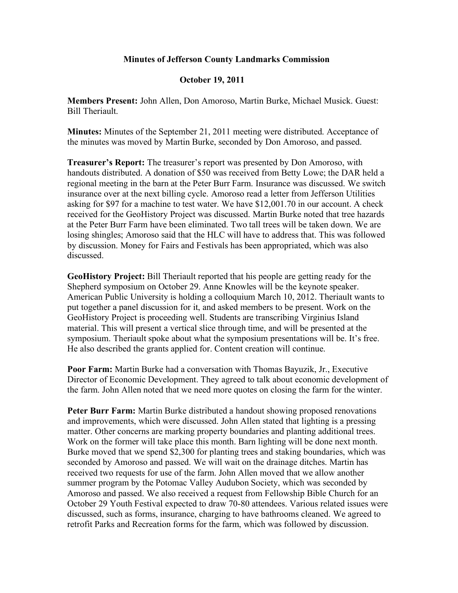## **Minutes of Jefferson County Landmarks Commission**

## **October 19, 2011**

**Members Present:** John Allen, Don Amoroso, Martin Burke, Michael Musick. Guest: Bill Theriault.

**Minutes:** Minutes of the September 21, 2011 meeting were distributed. Acceptance of the minutes was moved by Martin Burke, seconded by Don Amoroso, and passed.

**Treasurer's Report:** The treasurer's report was presented by Don Amoroso, with handouts distributed. A donation of \$50 was received from Betty Lowe; the DAR held a regional meeting in the barn at the Peter Burr Farm. Insurance was discussed. We switch insurance over at the next billing cycle. Amoroso read a letter from Jefferson Utilities asking for \$97 for a machine to test water. We have \$12,001.70 in our account. A check received for the GeoHistory Project was discussed. Martin Burke noted that tree hazards at the Peter Burr Farm have been eliminated. Two tall trees will be taken down. We are losing shingles; Amoroso said that the HLC will have to address that. This was followed by discussion. Money for Fairs and Festivals has been appropriated, which was also discussed.

**GeoHistory Project:** Bill Theriault reported that his people are getting ready for the Shepherd symposium on October 29. Anne Knowles will be the keynote speaker. American Public University is holding a colloquium March 10, 2012. Theriault wants to put together a panel discussion for it, and asked members to be present. Work on the GeoHistory Project is proceeding well. Students are transcribing Virginius Island material. This will present a vertical slice through time, and will be presented at the symposium. Theriault spoke about what the symposium presentations will be. It's free. He also described the grants applied for. Content creation will continue.

**Poor Farm:** Martin Burke had a conversation with Thomas Bayuzik, Jr., Executive Director of Economic Development. They agreed to talk about economic development of the farm. John Allen noted that we need more quotes on closing the farm for the winter.

**Peter Burr Farm:** Martin Burke distributed a handout showing proposed renovations and improvements, which were discussed. John Allen stated that lighting is a pressing matter. Other concerns are marking property boundaries and planting additional trees. Work on the former will take place this month. Barn lighting will be done next month. Burke moved that we spend \$2,300 for planting trees and staking boundaries, which was seconded by Amoroso and passed. We will wait on the drainage ditches. Martin has received two requests for use of the farm. John Allen moved that we allow another summer program by the Potomac Valley Audubon Society, which was seconded by Amoroso and passed. We also received a request from Fellowship Bible Church for an October 29 Youth Festival expected to draw 70-80 attendees. Various related issues were discussed, such as forms, insurance, charging to have bathrooms cleaned. We agreed to retrofit Parks and Recreation forms for the farm, which was followed by discussion.